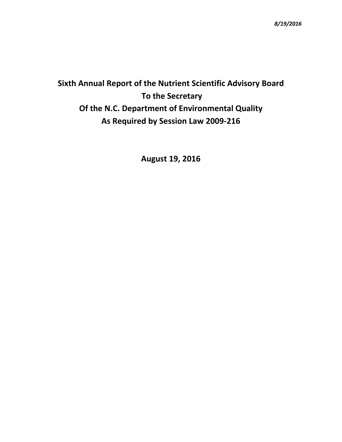# **Sixth Annual Report of the Nutrient Scientific Advisory Board To the Secretary Of the N.C. Department of Environmental Quality As Required by Session Law 2009-216**

**August 19, 2016**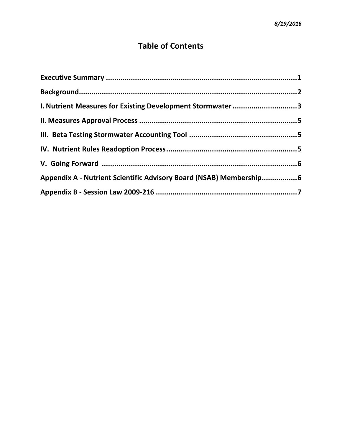# **Table of Contents**

| I. Nutrient Measures for Existing Development Stormwater 3         |  |
|--------------------------------------------------------------------|--|
|                                                                    |  |
|                                                                    |  |
|                                                                    |  |
|                                                                    |  |
| Appendix A - Nutrient Scientific Advisory Board (NSAB) Membership6 |  |
|                                                                    |  |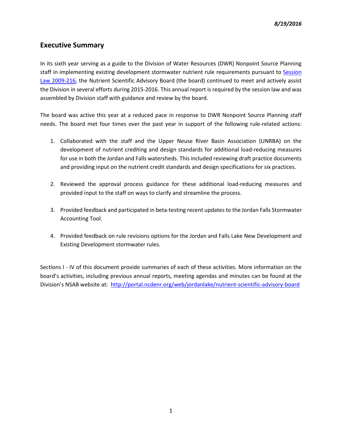#### <span id="page-2-0"></span>**Executive Summary**

In its sixth year serving as a guide to the Division of Water Resources (DWR) Nonpoint Source Planning staff in implementing existing development stormwater nutrient rule requirements pursuant to Session [Law 2009-216,](http://www.ncleg.net/sessions/2009/bills/house/pdf/h239v6.pdf) the Nutrient Scientific Advisory Board (the board) continued to meet and actively assist the Division in several efforts during 2015-2016. This annual report is required by the session law and was assembled by Division staff with guidance and review by the board.

The board was active this year at a reduced pace in response to DWR Nonpoint Source Planning staff needs. The board met four times over the past year in support of the following rule-related actions:

- 1. Collaborated with the staff and the Upper Neuse River Basin Association (UNRBA) on the development of nutrient crediting and design standards for additional load-reducing measures for use in both the Jordan and Falls watersheds. This included reviewing draft practice documents and providing input on the nutrient credit standards and design specifications for six practices.
- 2. Reviewed the approval process guidance for these additional load-reducing measures and provided input to the staff on ways to clarify and streamline the process.
- 3. Provided feedback and participated in beta-testing recent updatesto the Jordan Falls Stormwater Accounting Tool.
- 4. Provided feedback on rule revisions options for the Jordan and Falls Lake New Development and Existing Development stormwater rules.

Sections I - IV of this document provide summaries of each of these activities. More information on the board's activities, including previous annual reports, meeting agendas and minutes can be found at the Division's NSAB website at: <http://portal.ncdenr.org/web/jordanlake/nutrient-scientific-advisory-board>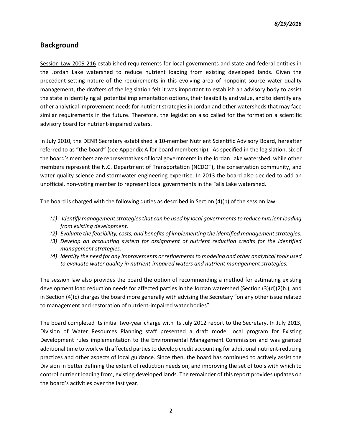### <span id="page-3-0"></span>**Background**

[Session Law 2009-216](http://www.ncleg.net/sessions/2009/bills/house/pdf/h239v6.pdf) established requirements for local governments and state and federal entities in the Jordan Lake watershed to reduce nutrient loading from existing developed lands. Given the precedent-setting nature of the requirements in this evolving area of nonpoint source water quality management, the drafters of the legislation felt it was important to establish an advisory body to assist the state in identifying all potential implementation options, their feasibility and value, and to identify any other analytical improvement needs for nutrient strategies in Jordan and other watersheds that may face similar requirements in the future. Therefore, the legislation also called for the formation a scientific advisory board for nutrient-impaired waters.

In July 2010, the DENR Secretary established a 10-member Nutrient Scientific Advisory Board, hereafter referred to as "the board" (see Appendix A for board membership). As specified in the legislation, six of the board's members are representatives of local governments in the Jordan Lake watershed, while other members represent the N.C. Department of Transportation (NCDOT), the conservation community, and water quality science and stormwater engineering expertise. In 2013 the board also decided to add an unofficial, non-voting member to represent local governments in the Falls Lake watershed.

The board is charged with the following duties as described in Section (4)(b) of the session law:

- *(1) Identify management strategies that can be used by local governments to reduce nutrient loading from existing development.*
- *(2) Evaluate the feasibility, costs, and benefits of implementing the identified management strategies.*
- *(3) Develop an accounting system for assignment of nutrient reduction credits for the identified management strategies.*
- *(4) Identify the need for any improvements or refinements to modeling and other analytical tools used to evaluate water quality in nutrient-impaired waters and nutrient management strategies.*

The session law also provides the board the option of recommending a method for estimating existing development load reduction needs for affected parties in the Jordan watershed (Section (3)(d)(2)b.), and in Section (4)(c) charges the board more generally with advising the Secretary "on any other issue related to management and restoration of nutrient-impaired water bodies".

The board completed its initial two-year charge with its July 2012 report to the Secretary. In July 2013, Division of Water Resources Planning staff presented a draft model local program for Existing Development rules implementation to the Environmental Management Commission and was granted additional time to work with affected parties to develop credit accounting for additional nutrient-reducing practices and other aspects of local guidance. Since then, the board has continued to actively assist the Division in better defining the extent of reduction needs on, and improving the set of tools with which to control nutrient loading from, existing developed lands. The remainder of this report provides updates on the board's activities over the last year.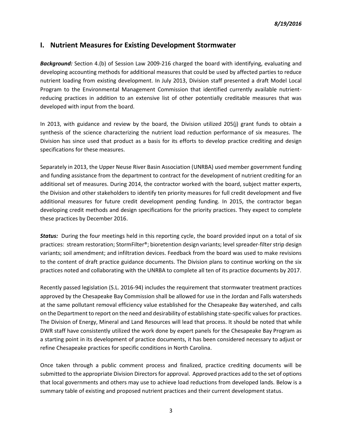#### <span id="page-4-0"></span>**I. Nutrient Measures for Existing Development Stormwater**

*Background:* Section 4.(b) of Session Law 2009-216 charged the board with identifying, evaluating and developing accounting methods for additional measures that could be used by affected parties to reduce nutrient loading from existing development. In July 2013, Division staff presented a draft Model Local Program to the Environmental Management Commission that identified currently available nutrientreducing practices in addition to an extensive list of other potentially creditable measures that was developed with input from the board.

In 2013, with guidance and review by the board, the Division utilized 205(j) grant funds to obtain a synthesis of the science characterizing the nutrient load reduction performance of six measures. The Division has since used that product as a basis for its efforts to develop practice crediting and design specifications for these measures.

Separately in 2013, the Upper Neuse River Basin Association (UNRBA) used member government funding and funding assistance from the department to contract for the development of nutrient crediting for an additional set of measures. During 2014, the contractor worked with the board, subject matter experts, the Division and other stakeholders to identify ten priority measures for full credit development and five additional measures for future credit development pending funding. In 2015, the contractor began developing credit methods and design specifications for the priority practices. They expect to complete these practices by December 2016.

*Status:* During the four meetings held in this reporting cycle, the board provided input on a total of six practices: stream restoration; StormFilter®; bioretention design variants; level spreader-filter strip design variants; soil amendment; and infiltration devices. Feedback from the board was used to make revisions to the content of draft practice guidance documents. The Division plans to continue working on the six practices noted and collaborating with the UNRBA to complete all ten of its practice documents by 2017.

Recently passed legislation (S.L. 2016-94) includes the requirement that stormwater treatment practices approved by the Chesapeake Bay Commission shall be allowed for use in the Jordan and Falls watersheds at the same pollutant removal efficiency value established for the Chesapeake Bay watershed, and calls on the Department to report on the need and desirability of establishing state-specific values for practices. The Division of Energy, Mineral and Land Resources will lead that process. It should be noted that while DWR staff have consistently utilized the work done by expert panels for the Chesapeake Bay Program as a starting point in its development of practice documents, it has been considered necessary to adjust or refine Chesapeake practices for specific conditions in North Carolina.

Once taken through a public comment process and finalized, practice crediting documents will be submitted to the appropriate Division Directors for approval. Approved practices add to the set of options that local governments and others may use to achieve load reductions from developed lands. Below is a summary table of existing and proposed nutrient practices and their current development status.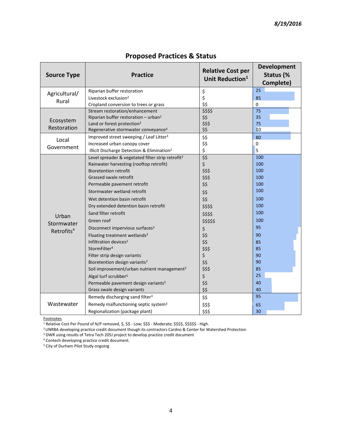| <b>Source Type</b>     | <b>Practice</b>                                                                                          | <b>Relative Cost per</b><br>Unit Reduction <sup>1</sup> | <b>Development</b><br>Status (%<br>Complete) |
|------------------------|----------------------------------------------------------------------------------------------------------|---------------------------------------------------------|----------------------------------------------|
| Agricultural/          | Riparian buffer restoration                                                                              | \$                                                      | 25                                           |
| Rural                  | Livestock exclusion <sup>2</sup>                                                                         | \$                                                      | 85                                           |
|                        | Cropland conversion to trees or grass                                                                    | \$\$                                                    | $\mathbf 0$                                  |
|                        | Stream restoration/enhancement                                                                           | \$\$\$\$                                                | 75                                           |
| Ecosystem              | Riparian buffer restoration - urban <sup>2</sup>                                                         | \$\$                                                    | 35                                           |
| Restoration            | Land or forest protection <sup>2</sup>                                                                   | \$\$\$                                                  | 75                                           |
|                        | Regenerative stormwater conveyance <sup>3</sup>                                                          | \$\$                                                    | 10                                           |
| Local                  | Improved street sweeping / Leaf Litter <sup>3</sup>                                                      | \$\$                                                    | 80                                           |
| Government             | Increased urban canopy cover                                                                             | \$\$                                                    | $\pmb{0}$                                    |
|                        | Illicit Discharge Detection & Elimination <sup>2</sup>                                                   | \$<br>\$5                                               | 5                                            |
|                        | Level spreader & vegetated filter strip retrofit <sup>2</sup><br>Rainwater harvesting (rooftop retrofit) | $\zeta$                                                 | 100<br>100                                   |
|                        | <b>Bioretention retrofit</b>                                                                             | \$\$\$                                                  | 100                                          |
|                        | Grassed swale retrofit                                                                                   | \$\$\$                                                  | 100                                          |
|                        | Permeable pavement retrofit                                                                              | \$\$                                                    | 100                                          |
|                        | Stormwater wetland retrofit                                                                              |                                                         | 100                                          |
|                        |                                                                                                          | \$\$                                                    | 100                                          |
|                        | Wet detention basin retrofit                                                                             | \$\$                                                    | 100                                          |
|                        | Dry extended detention basin retrofit                                                                    | \$\$\$\$                                                | 100                                          |
| Urban                  | Sand filter retrofit                                                                                     | \$\$\$\$                                                |                                              |
| Stormwater             | Green roof                                                                                               | \$\$\$\$\$                                              | 100                                          |
| Retrofits <sup>4</sup> | Disconnect impervious surfaces <sup>3</sup>                                                              | \$                                                      | 95                                           |
|                        | Floating treatment wetlands <sup>3</sup>                                                                 | \$\$                                                    | 90                                           |
|                        | Infiltration devices <sup>2</sup>                                                                        | \$\$                                                    | 85                                           |
|                        | StormFilter <sup>4</sup>                                                                                 | \$\$\$                                                  | 85                                           |
|                        | Filter strip design variants                                                                             | \$                                                      | 90                                           |
|                        | Bioretention design variants <sup>2</sup>                                                                | \$\$                                                    | 90                                           |
|                        | Soil improvement/urban nutrient management <sup>2</sup>                                                  | \$\$\$                                                  | 85                                           |
|                        | Algal turf scrubber <sup>5</sup>                                                                         | \$                                                      | 25                                           |
|                        | Permeable pavement design variants <sup>3</sup>                                                          | \$\$                                                    | 40                                           |
|                        | Grass swale design variants                                                                              | \$\$                                                    | 40                                           |
|                        | Remedy discharging sand filter <sup>3</sup>                                                              | \$\$                                                    | 95                                           |
| Wastewater             | Remedy malfunctioning septic system <sup>3</sup>                                                         | \$\$\$                                                  | 65                                           |
|                        | Regionalization (package plant)                                                                          | \$\$\$                                                  | 30                                           |

# **Proposed Practices & Status**

**Footnotes** 

 $^1$  Relative Cost Per Pound of N/P removed, \$, \$\$ - Low; \$\$\$ - Moderate; \$\$\$\$, \$\$\$\$\$ - High.

<sup>2</sup>UNRBA developing practice credit document though its contractors Cardno & Center for Watershed Protection

<sup>3</sup> DWR using results of Tetra Tech 205J project to develop practice credit document

<sup>4</sup> Contech developing practice credit document.

<sup>5</sup> City of Durham Pilot Study ongoing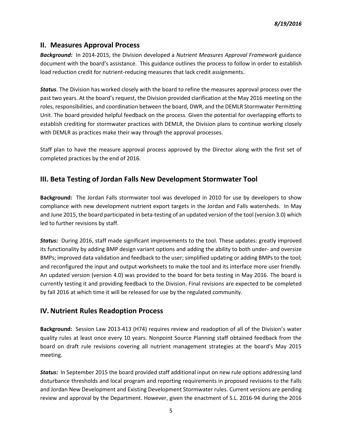#### **II. Measures Approval Process**

*Background:* In 2014-2015, the Division developed a *Nutrient Measures Approval Framework* guidance document with the board's assistance. This guidance outlines the process to follow in order to establish load reduction credit for nutrient-reducing measures that lack credit assignments.

*Status*. The Division has worked closely with the board to refine the measures approval process over the past two years. At the board's request, the Division provided clarification at the May 2016 meeting on the roles, responsibilities, and coordination between the board, DWR, and the DEMLR Stormwater Permitting Unit. The board provided helpful feedback on the process. Given the potential for overlapping efforts to establish crediting for stormwater practices with DEMLR, the Division plans to continue working closely with DEMLR as practices make their way through the approval processes.

Staff plan to have the measure approval process approved by the Director along with the first set of completed practices by the end of 2016.

## **III. Beta Testing of Jordan Falls New Development Stormwater Tool**

**Background:** The Jordan Falls stormwater tool was developed in 2010 for use by developers to show compliance with new development nutrient export targets in the Jordan and Falls watersheds. In May and June 2015, the board participated in beta-testing of an updated version of the tool (version 3.0) which led to further revisions by staff.

*Status:* During 2016, staff made significant improvements to the tool. These updates: greatly improved its functionality by adding BMP design variant options and adding the ability to both under- and oversize BMPs; improved data validation and feedback to the user; simplified updating or adding BMPs to the tool; and reconfigured the input and output worksheets to make the tool and its interface more user friendly. An updated version (version 4.0) was provided to the board for beta testing in May 2016. The board is currently testing it and providing feedback to the Division. Final revisions are expected to be completed by fall 2016 at which time it will be released for use by the regulated community.

### **IV.Nutrient Rules Readoption Process**

**Background:** Session Law 2013-413 (H74) requires review and readoption of all of the Division's water quality rules at least once every 10 years. Nonpoint Source Planning staff obtained feedback from the board on draft rule revisions covering all nutrient management strategies at the board's May 2015 meeting.

<span id="page-6-0"></span>*Status:* In September 2015 the board provided staff additional input on new rule options addressing land disturbance thresholds and local program and reporting requirements in proposed revisions to the Falls and Jordan New Development and Existing Development Stormwater rules. Current versions are pending review and approval by the Department. However, given the enactment of S.L. 2016-94 during the 2016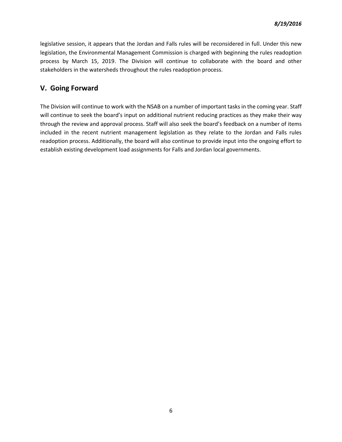legislative session, it appears that the Jordan and Falls rules will be reconsidered in full. Under this new legislation, the Environmental Management Commission is charged with beginning the rules readoption process by March 15, 2019. The Division will continue to collaborate with the board and other stakeholders in the watersheds throughout the rules readoption process.

#### **V. Going Forward**

The Division will continue to work with the NSAB on a number of important tasks in the coming year. Staff will continue to seek the board's input on additional nutrient reducing practices as they make their way through the review and approval process. Staff will also seek the board's feedback on a number of items included in the recent nutrient management legislation as they relate to the Jordan and Falls rules readoption process. Additionally, the board will also continue to provide input into the ongoing effort to establish existing development load assignments for Falls and Jordan local governments.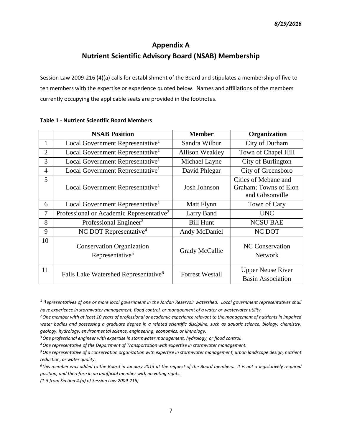# **Appendix A Nutrient Scientific Advisory Board (NSAB) Membership**

Session Law 2009-216 (4)(a) calls for establishment of the Board and stipulates a membership of five to ten members with the expertise or experience quoted below. Names and affiliations of the members currently occupying the applicable seats are provided in the footnotes.

|                | <b>NSAB Position</b>                                            | <b>Member</b>          | Organization                                                     |
|----------------|-----------------------------------------------------------------|------------------------|------------------------------------------------------------------|
| 1              | Local Government Representative <sup>1</sup>                    | Sandra Wilbur          | City of Durham                                                   |
| $\overline{2}$ | Local Government Representative <sup>1</sup>                    | <b>Allison Weakley</b> | Town of Chapel Hill                                              |
| 3              | Local Government Representative <sup>1</sup>                    | Michael Layne          | City of Burlington                                               |
| $\overline{4}$ | Local Government Representative <sup>1</sup>                    | David Phlegar          | City of Greensboro                                               |
| 5              | Local Government Representative <sup>1</sup>                    | Josh Johnson           | Cities of Mebane and<br>Graham; Towns of Elon<br>and Gibsonville |
| 6              | Local Government Representative <sup>1</sup>                    | Matt Flynn             | Town of Cary                                                     |
| 7              | Professional or Academic Representative <sup>2</sup>            | Larry Band             | <b>UNC</b>                                                       |
| 8              | Professional Engineer <sup>3</sup>                              | <b>Bill Hunt</b>       | <b>NCSU BAE</b>                                                  |
| 9              | NC DOT Representative <sup>4</sup>                              | Andy McDaniel          | NC DOT                                                           |
| 10             | <b>Conservation Organization</b><br>Representative <sup>5</sup> | Grady McCallie         | <b>NC</b> Conservation<br><b>Network</b>                         |
| 11             | Falls Lake Watershed Representative <sup>6</sup>                | <b>Forrest Westall</b> | <b>Upper Neuse River</b><br><b>Basin Association</b>             |

#### **Table 1 - Nutrient Scientific Board Members**

<sup>1</sup>R*epresentatives of one or more local government in the Jordan Reservoir watershed. Local government representatives shall have experience in stormwater management, flood control, or management of a water or wastewater utility.*

*<sup>2</sup>One member with at least 10 years of professional or academic experience relevant to the management of nutrients in impaired water bodies and possessing a graduate degree in a related scientific discipline, such as aquatic science, biology, chemistry, geology, hydrology, environmental science, engineering, economics, or limnology.*

*<sup>3</sup>One professional engineer with expertise in stormwater management, hydrology, or flood control.*

*<sup>4</sup>One representative of the Department of Transportation with expertise in stormwater management.*

*<sup>5</sup>One representative of a conservation organization with expertise in stormwater management, urban landscape design, nutrient reduction, or water quality.*

*<sup>6</sup>This member was added to the Board in January 2013 at the request of the Board members. It is not a legislatively required position, and therefore in an unofficial member with no voting rights.*

*(1-5 from Section 4.(a) of Session Law 2009-216)*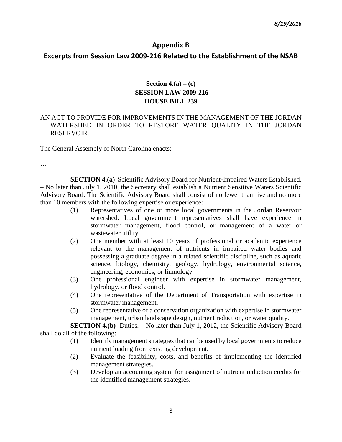#### **Appendix B**

#### **Excerpts from Session Law 2009-216 Related to the Establishment of the NSAB**

### **Section 4.(a) – (c) SESSION LAW 2009-216 HOUSE BILL 239**

#### AN ACT TO PROVIDE FOR IMPROVEMENTS IN THE MANAGEMENT OF THE JORDAN WATERSHED IN ORDER TO RESTORE WATER QUALITY IN THE JORDAN RESERVOIR.

The General Assembly of North Carolina enacts:

…

**SECTION 4.(a)** Scientific Advisory Board for Nutrient-Impaired Waters Established. – No later than July 1, 2010, the Secretary shall establish a Nutrient Sensitive Waters Scientific Advisory Board. The Scientific Advisory Board shall consist of no fewer than five and no more than 10 members with the following expertise or experience:

- (1) Representatives of one or more local governments in the Jordan Reservoir watershed. Local government representatives shall have experience in stormwater management, flood control, or management of a water or wastewater utility.
- (2) One member with at least 10 years of professional or academic experience relevant to the management of nutrients in impaired water bodies and possessing a graduate degree in a related scientific discipline, such as aquatic science, biology, chemistry, geology, hydrology, environmental science, engineering, economics, or limnology.
- (3) One professional engineer with expertise in stormwater management, hydrology, or flood control.
- (4) One representative of the Department of Transportation with expertise in stormwater management.
- (5) One representative of a conservation organization with expertise in stormwater management, urban landscape design, nutrient reduction, or water quality.

**SECTION 4.(b)** Duties. – No later than July 1, 2012, the Scientific Advisory Board shall do all of the following:

- (1) Identify management strategies that can be used by local governments to reduce nutrient loading from existing development.
- (2) Evaluate the feasibility, costs, and benefits of implementing the identified management strategies.
- (3) Develop an accounting system for assignment of nutrient reduction credits for the identified management strategies.